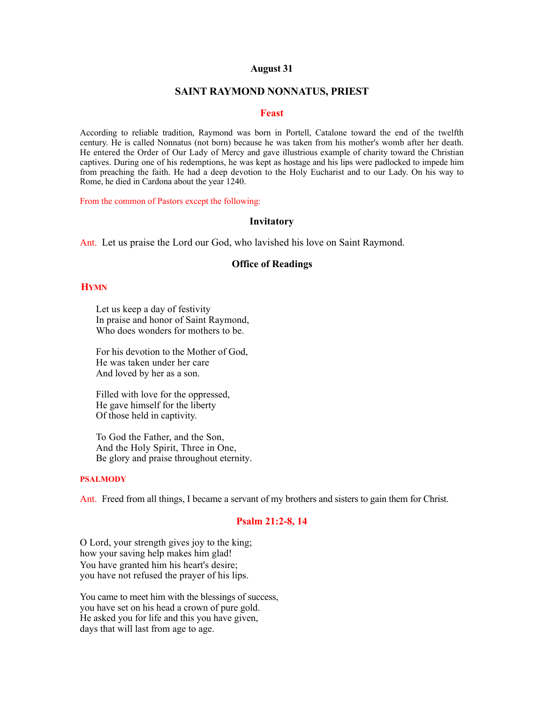## **August 31**

#### **SAINT RAYMOND NONNATUS, PRIEST**

#### **Feast**

According to reliable tradition, Raymond was born in Portell, Catalone toward the end of the twelfth century. He is called Nonnatus (not born) because he was taken from his mother's womb after her death. He entered the Order of Our Lady of Mercy and gave illustrious example of charity toward the Christian captives. During one of his redemptions, he was kept as hostage and his lips were padlocked to impede him from preaching the faith. He had a deep devotion to the Holy Eucharist and to our Lady. On his way to Rome, he died in Cardona about the year 1240.

From the common of Pastors except the following:

#### **Invitatory**

Ant. Let us praise the Lord our God, who lavished his love on Saint Raymond.

## **Office of Readings**

### **HYMN**

Let us keep a day of festivity In praise and honor of Saint Raymond, Who does wonders for mothers to be.

For his devotion to the Mother of God, He was taken under her care And loved by her as a son.

Filled with love for the oppressed, He gave himself for the liberty Of those held in captivity.

To God the Father, and the Son, And the Holy Spirit, Three in One, Be glory and praise throughout eternity.

#### **PSALMODY**

Ant. Freed from all things, I became a servant of my brothers and sisters to gain them for Christ.

### **Psalm 21:2-8, 14**

O Lord, your strength gives joy to the king; how your saving help makes him glad! You have granted him his heart's desire; you have not refused the prayer of his lips.

You came to meet him with the blessings of success, you have set on his head a crown of pure gold. He asked you for life and this you have given, days that will last from age to age.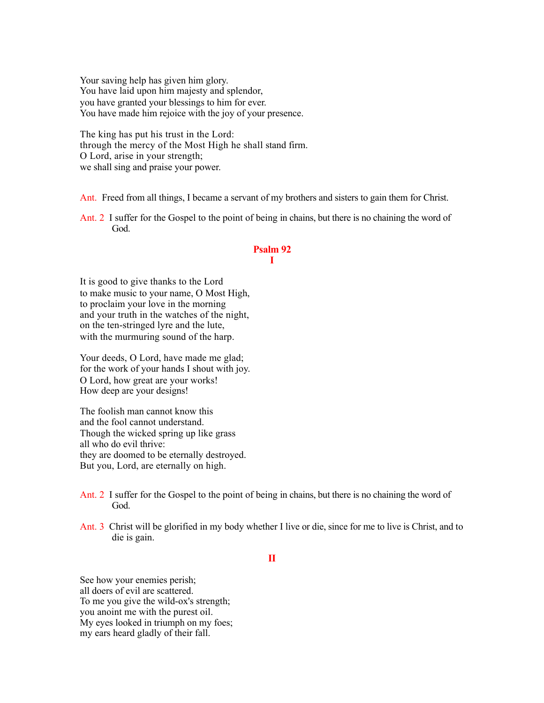Your saving help has given him glory. You have laid upon him majesty and splendor, you have granted your blessings to him for ever. You have made him rejoice with the joy of your presence.

The king has put his trust in the Lord: through the mercy of the Most High he shall stand firm. O Lord, arise in your strength; we shall sing and praise your power.

Ant. Freed from all things, I became a servant of my brothers and sisters to gain them for Christ.

Ant. 2 I suffer for the Gospel to the point of being in chains, but there is no chaining the word of God.

#### **Psalm 92 I**

It is good to give thanks to the Lord to make music to your name, O Most High, to proclaim your love in the morning and your truth in the watches of the night, on the ten-stringed lyre and the lute, with the murmuring sound of the harp.

Your deeds, O Lord, have made me glad; for the work of your hands I shout with joy. O Lord, how great are your works! How deep are your designs!

The foolish man cannot know this and the fool cannot understand. Though the wicked spring up like grass all who do evil thrive: they are doomed to be eternally destroyed. But you, Lord, are eternally on high.

- Ant. 2 I suffer for the Gospel to the point of being in chains, but there is no chaining the word of God.
- Ant. 3 Christ will be glorified in my body whether I live or die, since for me to live is Christ, and to die is gain.

# **II**

See how your enemies perish; all doers of evil are scattered. To me you give the wild-ox's strength; you anoint me with the purest oil. My eyes looked in triumph on my foes; my ears heard gladly of their fall.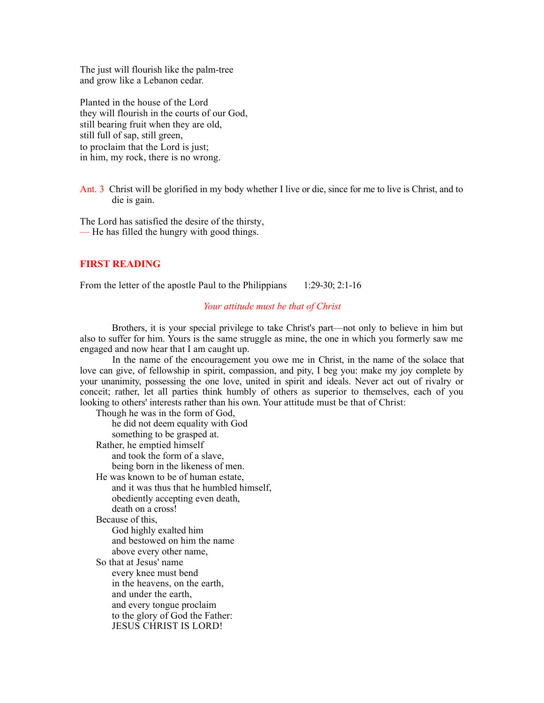The just will flourish like the palm-tree and grow like a Lebanon cedar.

Planted in the house of the Lord they will flourish in the courts of our God, still bearing fruit when they are old, still full of sap, still green, to proclaim that the Lord is just; in him, my rock, there is no wrong.

Ant. 3 Christ will be glorified in my body whether I live or die, since for me to live is Christ, and to die is gain.

The Lord has satisfied the desire of the thirsty, — He has filled the hungry with good things.

# **FIRST READING**

From the letter of the apostle Paul to the Philippians 1:29-30; 2:1-16

### *Your attitude must be that of Christ*

 Brothers, it is your special privilege to take Christ's part—not only to believe in him but also to suffer for him. Yours is the same struggle as mine, the one in which you formerly saw me engaged and now hear that I am caught up.

 In the name of the encouragement you owe me in Christ, in the name of the solace that love can give, of fellowship in spirit, compassion, and pity, I beg you: make my joy complete by your unanimity, possessing the one love, united in spirit and ideals. Never act out of rivalry or conceit; rather, let all parties think humbly of others as superior to themselves, each of you looking to others' interests rather than his own. Your attitude must be that of Christ:

Though he was in the form of God, he did not deem equality with God something to be grasped at. Rather, he emptied himself and took the form of a slave, being born in the likeness of men. He was known to be of human estate, and it was thus that he humbled himself, obediently accepting even death, death on a cross! Because of this, God highly exalted him and bestowed on him the name above every other name, So that at Jesus' name every knee must bend in the heavens, on the earth, and under the earth, and every tongue proclaim to the glory of God the Father: JESUS CHRIST IS LORD!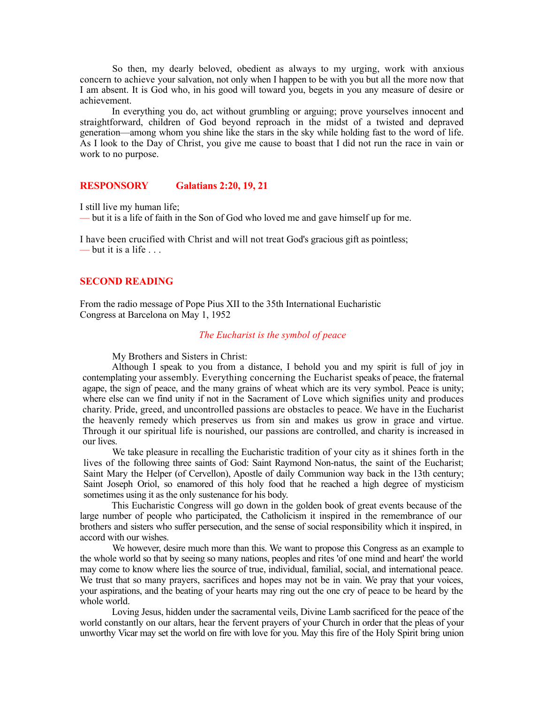So then, my dearly beloved, obedient as always to my urging, work with anxious concern to achieve your salvation, not only when I happen to be with you but all the more now that I am absent. It is God who, in his good will toward you, begets in you any measure of desire or achievement.

 In everything you do, act without grumbling or arguing; prove yourselves innocent and straightforward, children of God beyond reproach in the midst of a twisted and depraved generation—among whom you shine like the stars in the sky while holding fast to the word of life. As I look to the Day of Christ, you give me cause to boast that I did not run the race in vain or work to no purpose.

# **RESPONSORY Galatians 2:20, 19, 21**

I still live my human life;

— but it is a life of faith in the Son of God who loved me and gave himself up for me.

I have been crucified with Christ and will not treat God's gracious gift as pointless; — but it is a life . . .

#### **SECOND READING**

From the radio message of Pope Pius XII to the 35th International Eucharistic Congress at Barcelona on May 1, 1952

#### *The Eucharist is the symbol of peace*

My Brothers and Sisters in Christ:

 Although I speak to you from a distance, I behold you and my spirit is full of joy in contemplating your assembly. Everything concerning the Eucharist speaks of peace, the fraternal agape, the sign of peace, and the many grains of wheat which are its very symbol. Peace is unity; where else can we find unity if not in the Sacrament of Love which signifies unity and produces charity. Pride, greed, and uncontrolled passions are obstacles to peace. We have in the Eucharist the heavenly remedy which preserves us from sin and makes us grow in grace and virtue. Through it our spiritual life is nourished, our passions are controlled, and charity is increased in our lives.

 We take pleasure in recalling the Eucharistic tradition of your city as it shines forth in the lives of the following three saints of God: Saint Raymond Non-natus, the saint of the Eucharist; Saint Mary the Helper (of Cervellon), Apostle of daily Communion way back in the 13th century; Saint Joseph Oriol, so enamored of this holy food that he reached a high degree of mysticism sometimes using it as the only sustenance for his body.

 This Eucharistic Congress will go down in the golden book of great events because of the large number of people who participated, the Catholicism it inspired in the remembrance of our brothers and sisters who suffer persecution, and the sense of social responsibility which it inspired, in accord with our wishes.

 We however, desire much more than this. We want to propose this Congress as an example to the whole world so that by seeing so many nations, peoples and rites 'of one mind and heart' the world may come to know where lies the source of true, individual, familial, social, and international peace. We trust that so many prayers, sacrifices and hopes may not be in vain. We pray that your voices, your aspirations, and the beating of your hearts may ring out the one cry of peace to be heard by the whole world.

 Loving Jesus, hidden under the sacramental veils, Divine Lamb sacrificed for the peace of the world constantly on our altars, hear the fervent prayers of your Church in order that the pleas of your unworthy Vicar may set the world on fire with love for you. May this fire of the Holy Spirit bring union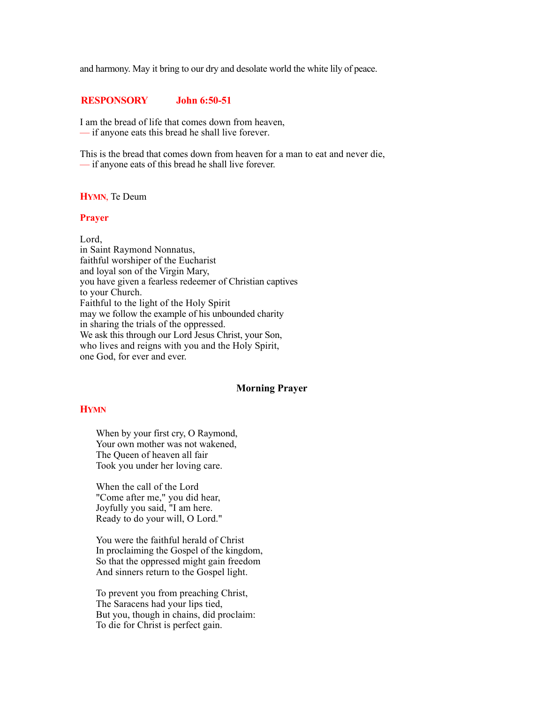and harmony. May it bring to our dry and desolate world the white lily of peace.

## **RESPONSORY John 6:50-51**

I am the bread of life that comes down from heaven, — if anyone eats this bread he shall live forever.

This is the bread that comes down from heaven for a man to eat and never die, — if anyone eats of this bread he shall live forever.

#### **HYMN**, Te Deum

#### **Prayer**

Lord, in Saint Raymond Nonnatus, faithful worshiper of the Eucharist and loyal son of the Virgin Mary, you have given a fearless redeemer of Christian captives to your Church. Faithful to the light of the Holy Spirit may we follow the example of his unbounded charity in sharing the trials of the oppressed. We ask this through our Lord Jesus Christ, your Son, who lives and reigns with you and the Holy Spirit, one God, for ever and ever.

## **Morning Prayer**

## **HYMN**

When by your first cry, O Raymond, Your own mother was not wakened, The Queen of heaven all fair Took you under her loving care.

When the call of the Lord "Come after me," you did hear, Joyfully you said, "I am here. Ready to do your will, O Lord."

You were the faithful herald of Christ In proclaiming the Gospel of the kingdom, So that the oppressed might gain freedom And sinners return to the Gospel light.

To prevent you from preaching Christ, The Saracens had your lips tied, But you, though in chains, did proclaim: To die for Christ is perfect gain.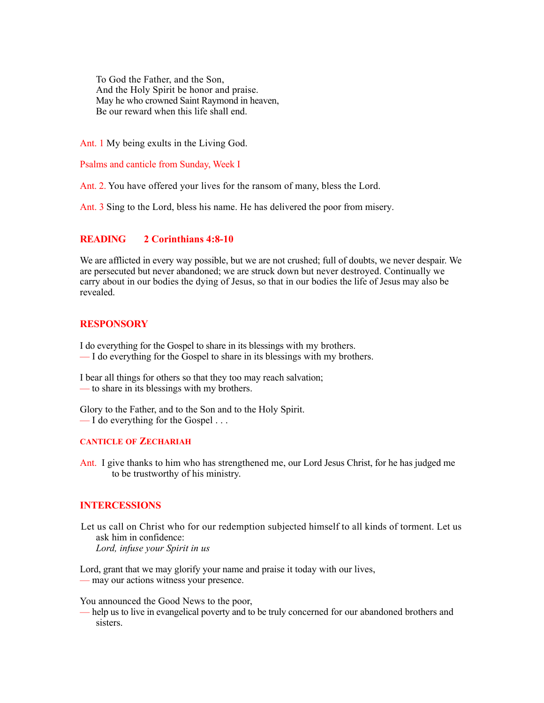To God the Father, and the Son, And the Holy Spirit be honor and praise. May he who crowned Saint Raymond in heaven, Be our reward when this life shall end.

Ant. 1 My being exults in the Living God.

Psalms and canticle from Sunday, Week I

Ant. 2. You have offered your lives for the ransom of many, bless the Lord.

Ant. 3 Sing to the Lord, bless his name. He has delivered the poor from misery.

# **READING 2 Corinthians 4:8-10**

We are afflicted in every way possible, but we are not crushed; full of doubts, we never despair. We are persecuted but never abandoned; we are struck down but never destroyed. Continually we carry about in our bodies the dying of Jesus, so that in our bodies the life of Jesus may also be revealed.

# **RESPONSORY**

I do everything for the Gospel to share in its blessings with my brothers. — I do everything for the Gospel to share in its blessings with my brothers.

I bear all things for others so that they too may reach salvation; — to share in its blessings with my brothers.

Glory to the Father, and to the Son and to the Holy Spirit.  $\overline{\phantom{a}}$  I do everything for the Gospel ...

### **CANTICLE OF ZECHARIAH**

Ant. I give thanks to him who has strengthened me, our Lord Jesus Christ, for he has judged me to be trustworthy of his ministry.

# **INTERCESSIONS**

Let us call on Christ who for our redemption subjected himself to all kinds of torment. Let us ask him in confidence: *Lord, infuse your Spirit in us*

Lord, grant that we may glorify your name and praise it today with our lives, — may our actions witness your presence.

You announced the Good News to the poor,

— help us to live in evangelical poverty and to be truly concerned for our abandoned brothers and sisters.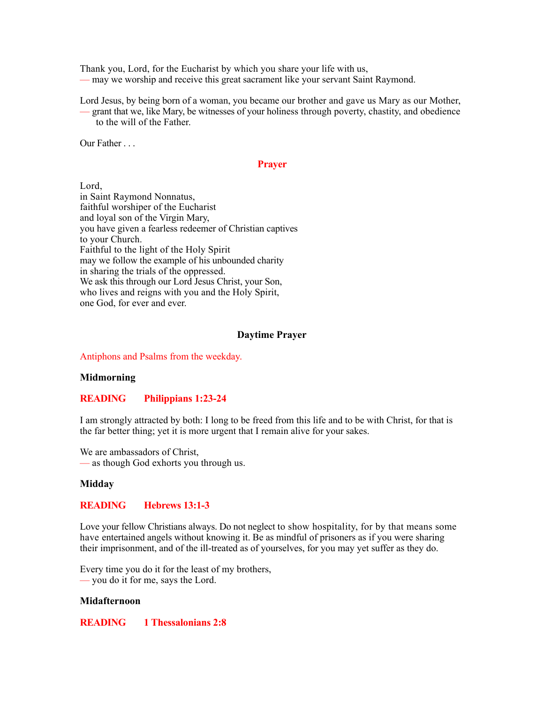Thank you, Lord, for the Eucharist by which you share your life with us, — may we worship and receive this great sacrament like your servant Saint Raymond.

Lord Jesus, by being born of a woman, you became our brother and gave us Mary as our Mother, — grant that we, like Mary, be witnesses of your holiness through poverty, chastity, and obedience to the will of the Father.

Our Father . . .

## **Prayer**

Lord, in Saint Raymond Nonnatus, faithful worshiper of the Eucharist and loyal son of the Virgin Mary, you have given a fearless redeemer of Christian captives to your Church. Faithful to the light of the Holy Spirit may we follow the example of his unbounded charity in sharing the trials of the oppressed. We ask this through our Lord Jesus Christ, your Son, who lives and reigns with you and the Holy Spirit, one God, for ever and ever.

# **Daytime Prayer**

Antiphons and Psalms from the weekday.

### **Midmorning**

# **READING Philippians 1:23-24**

I am strongly attracted by both: I long to be freed from this life and to be with Christ, for that is the far better thing; yet it is more urgent that I remain alive for your sakes.

We are ambassadors of Christ. — as though God exhorts you through us.

### **Midday**

# **READING Hebrews 13:1-3**

Love your fellow Christians always. Do not neglect to show hospitality, for by that means some have entertained angels without knowing it. Be as mindful of prisoners as if you were sharing their imprisonment, and of the ill-treated as of yourselves, for you may yet suffer as they do.

Every time you do it for the least of my brothers, — you do it for me, says the Lord.

### **Midafternoon**

**READING 1 Thessalonians 2:8**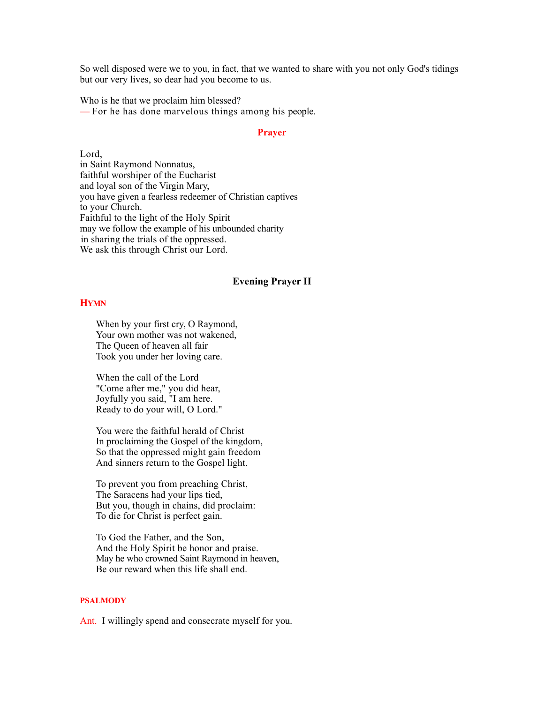So well disposed were we to you, in fact, that we wanted to share with you not only God's tidings but our very lives, so dear had you become to us.

Who is he that we proclaim him blessed? — For he has done marvelous things among his people.

### **Prayer**

Lord, in Saint Raymond Nonnatus, faithful worshiper of the Eucharist and loyal son of the Virgin Mary, you have given a fearless redeemer of Christian captives to your Church. Faithful to the light of the Holy Spirit may we follow the example of his unbounded charity in sharing the trials of the oppressed. We ask this through Christ our Lord.

#### **Evening Prayer II**

# **HYMN**

When by your first cry, O Raymond, Your own mother was not wakened, The Queen of heaven all fair Took you under her loving care.

When the call of the Lord "Come after me," you did hear, Joyfully you said, "I am here. Ready to do your will, O Lord."

You were the faithful herald of Christ In proclaiming the Gospel of the kingdom, So that the oppressed might gain freedom And sinners return to the Gospel light.

To prevent you from preaching Christ, The Saracens had your lips tied, But you, though in chains, did proclaim: To die for Christ is perfect gain.

To God the Father, and the Son, And the Holy Spirit be honor and praise. May he who crowned Saint Raymond in heaven, Be our reward when this life shall end.

# **PSALMODY**

Ant. I willingly spend and consecrate myself for you.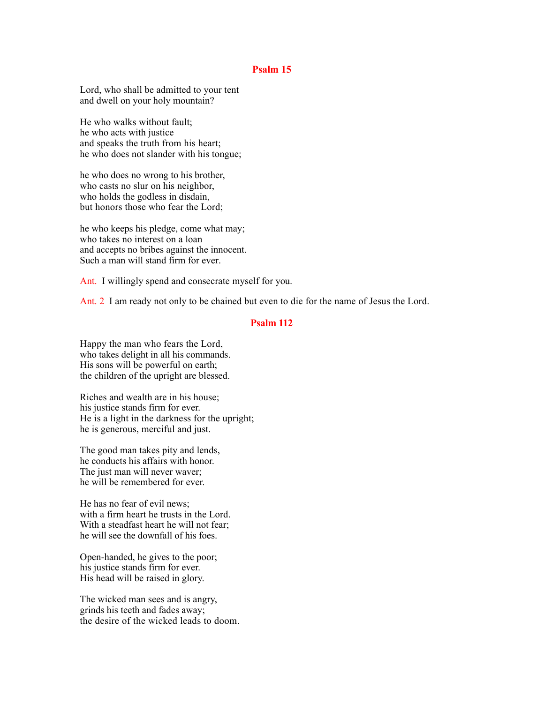### **Psalm 15**

Lord, who shall be admitted to your tent and dwell on your holy mountain?

He who walks without fault; he who acts with justice and speaks the truth from his heart; he who does not slander with his tongue;

he who does no wrong to his brother, who casts no slur on his neighbor, who holds the godless in disdain, but honors those who fear the Lord;

he who keeps his pledge, come what may; who takes no interest on a loan and accepts no bribes against the innocent. Such a man will stand firm for ever.

Ant. I willingly spend and consecrate myself for you.

Ant. 2 I am ready not only to be chained but even to die for the name of Jesus the Lord.

## **Psalm 112**

Happy the man who fears the Lord, who takes delight in all his commands. His sons will be powerful on earth; the children of the upright are blessed.

Riches and wealth are in his house; his justice stands firm for ever. He is a light in the darkness for the upright; he is generous, merciful and just.

The good man takes pity and lends, he conducts his affairs with honor. The just man will never waver; he will be remembered for ever.

He has no fear of evil news; with a firm heart he trusts in the Lord. With a steadfast heart he will not fear; he will see the downfall of his foes.

Open-handed, he gives to the poor; his justice stands firm for ever. His head will be raised in glory.

The wicked man sees and is angry, grinds his teeth and fades away; the desire of the wicked leads to doom.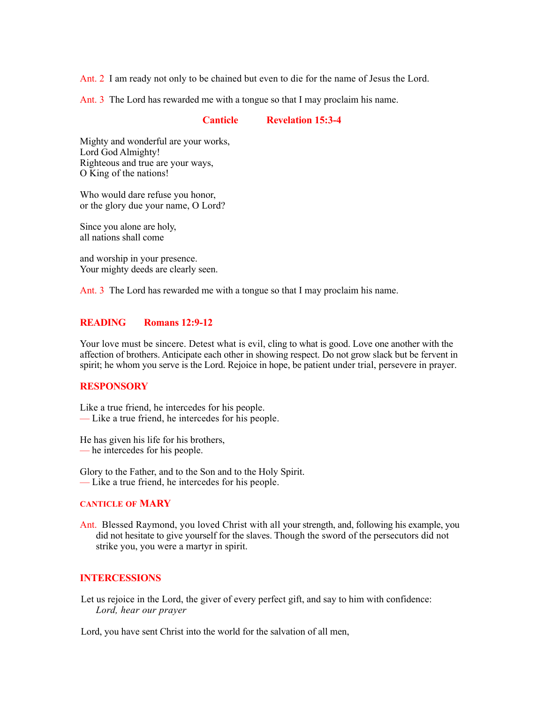Ant. 2 I am ready not only to be chained but even to die for the name of Jesus the Lord.

Ant. 3 The Lord has rewarded me with a tongue so that I may proclaim his name.

#### **Canticle Revelation 15:3-4**

Mighty and wonderful are your works, Lord God Almighty! Righteous and true are your ways, O King of the nations!

Who would dare refuse you honor, or the glory due your name, O Lord?

Since you alone are holy, all nations shall come

and worship in your presence. Your mighty deeds are clearly seen.

Ant. 3 The Lord has rewarded me with a tongue so that I may proclaim his name.

# **READING Romans 12:9-12**

Your love must be sincere. Detest what is evil, cling to what is good. Love one another with the affection of brothers. Anticipate each other in showing respect. Do not grow slack but be fervent in spirit; he whom you serve is the Lord. Rejoice in hope, be patient under trial, persevere in prayer.

## **RESPONSORY**

Like a true friend, he intercedes for his people. — Like a true friend, he intercedes for his people.

He has given his life for his brothers, — he intercedes for his people.

Glory to the Father, and to the Son and to the Holy Spirit. — Like a true friend, he intercedes for his people.

# **CANTICLE OF MARY**

Ant. Blessed Raymond, you loved Christ with all your strength, and, following his example, you did not hesitate to give yourself for the slaves. Though the sword of the persecutors did not strike you, you were a martyr in spirit.

## **INTERCESSIONS**

Let us rejoice in the Lord, the giver of every perfect gift, and say to him with confidence: *Lord, hear our prayer*

Lord, you have sent Christ into the world for the salvation of all men,